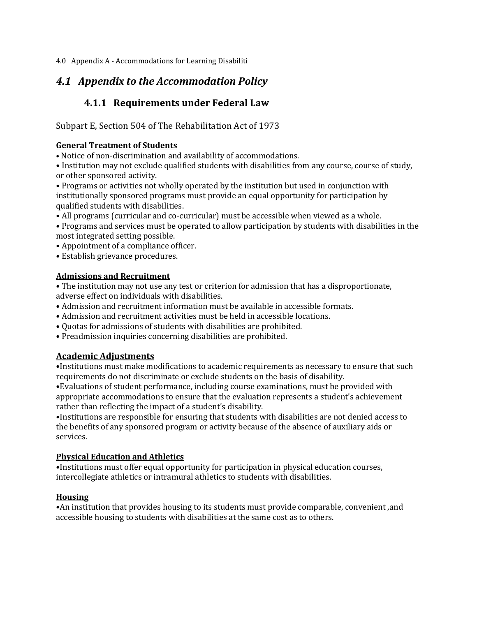4.0 Appendix A - Accommodations for Learning Disabiliti

# *4.1 Appendix to the Accommodation Policy*

## **4.1.1 Requirements under Federal Law**

Subpart E, Section 504 of The Rehabilitation Act of 1973

### **General Treatment of Students**

• Notice of non-discrimination and availability of accommodations.

• Institution may not exclude qualified students with disabilities from any course, course of study, or other sponsored activity.

• Programs or activities not wholly operated by the institution but used in conjunction with institutionally sponsored programs must provide an equal opportunity for participation by qualified students with disabilities.

• All programs (curricular and co-curricular) must be accessible when viewed as a whole.

• Programs and services must be operated to allow participation by students with disabilities in the most integrated setting possible.

• Appointment of a compliance officer.

• Establish grievance procedures.

## **Admissions and Recruitment**

• The institution may not use any test or criterion for admission that has a disproportionate, adverse effect on individuals with disabilities.

- Admission and recruitment information must be available in accessible formats.
- Admission and recruitment activities must be held in accessible locations.
- Quotas for admissions of students with disabilities are prohibited.
- Preadmission inquiries concerning disabilities are prohibited.

## **Academic Adjustments**

•Institutions must make modifications to academic requirements as necessary to ensure that such requirements do not discriminate or exclude students on the basis of disability.

•Evaluations of student performance, including course examinations, must be provided with appropriate accommodations to ensure that the evaluation represents a student's achievement rather than reflecting the impact of a student's disability.

•Institutions are responsible for ensuring that students with disabilities are not denied access to the benefits of any sponsored program or activity because of the absence of auxiliary aids or services.

### **Physical Education and Athletics**

•Institutions must offer equal opportunity for participation in physical education courses, intercollegiate athletics or intramural athletics to students with disabilities.

## **Housing**

•An institution that provides housing to its students must provide comparable, convenient ,and accessible housing to students with disabilities at the same cost as to others.